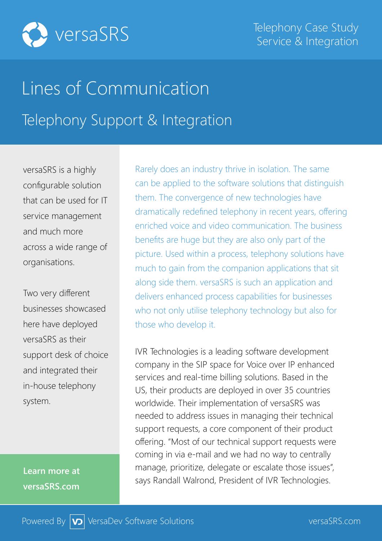

## Lines of Communication Telephony Support & Integration

versaSRS is a highly configurable solution that can be used for IT service management and much more across a wide range of organisations.

Two very different businesses showcased here have deployed versaSRS as their support desk of choice and integrated their in-house telephony system.

**Learn more at versaSRS.com**

Rarely does an industry thrive in isolation. The same can be applied to the software solutions that distinguish them. The convergence of new technologies have dramatically redefined telephony in recent years, offering enriched voice and video communication. The business benefits are huge but they are also only part of the picture. Used within a process, telephony solutions have much to gain from the companion applications that sit along side them. versaSRS is such an application and delivers enhanced process capabilities for businesses who not only utilise telephony technology but also for those who develop it.

IVR Technologies is a leading software development company in the SIP space for Voice over IP enhanced services and real-time billing solutions. Based in the US, their products are deployed in over 35 countries worldwide. Their implementation of versaSRS was needed to address issues in managing their technical support requests, a core component of their product offering. "Most of our technical support requests were coming in via e-mail and we had no way to centrally manage, prioritize, delegate or escalate those issues", says Randall Walrond, President of IVR Technologies.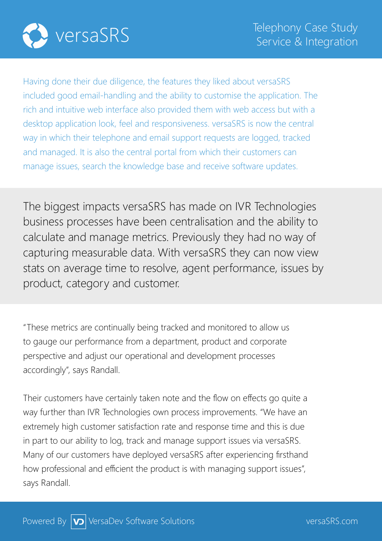

Having done their due diligence, the features they liked about versaSRS included good email-handling and the ability to customise the application. The rich and intuitive web interface also provided them with web access but with a desktop application look, feel and responsiveness. versaSRS is now the central way in which their telephone and email support requests are logged, tracked and managed. It is also the central portal from which their customers can manage issues, search the knowledge base and receive software updates.

The biggest impacts versaSRS has made on IVR Technologies business processes have been centralisation and the ability to calculate and manage metrics. Previously they had no way of capturing measurable data. With versaSRS they can now view stats on average time to resolve, agent performance, issues by product, category and customer.

"These metrics are continually being tracked and monitored to allow us to gauge our performance from a department, product and corporate perspective and adjust our operational and development processes accordingly", says Randall.

Their customers have certainly taken note and the flow on effects go quite a way further than IVR Technologies own process improvements. "We have an extremely high customer satisfaction rate and response time and this is due in part to our ability to log, track and manage support issues via versaSRS. Many of our customers have deployed versaSRS after experiencing firsthand how professional and efficient the product is with managing support issues", says Randall.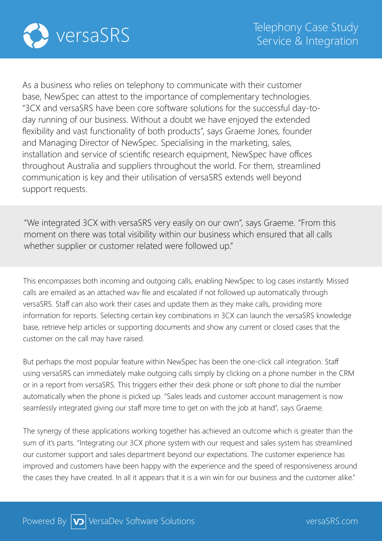

As a business who relies on telephony to communicate with their customer base, NewSpec can attest to the importance of complementary technologies. "3CX and versaSRS have been core software solutions for the successful day-today running of our business. Without a doubt we have enjoyed the extended flexibility and vast functionality of both products", says Graeme Jones, founder and Managing Director of NewSpec. Specialising in the marketing, sales, installation and service of scientific research equipment, NewSpec have offices throughout Australia and suppliers throughout the world. For them, streamlined communication is key and their utilisation of versaSRS extends well beyond support requests.

"We integrated 3CX with versaSRS very easily on our own", says Graeme. "From this moment on there was total visibility within our business which ensured that all calls whether supplier or customer related were followed up."

This encompasses both incoming and outgoing calls, enabling NewSpec to log cases instantly. Missed calls are emailed as an attached wav file and escalated if not followed up automatically through versaSRS. Staff can also work their cases and update them as they make calls, providing more information for reports. Selecting certain key combinations in 3CX can launch the versaSRS knowledge base, retrieve help articles or supporting documents and show any current or closed cases that the customer on the call may have raised.

But perhaps the most popular feature within NewSpec has been the one-click call integration. Staff using versaSRS can immediately make outgoing calls simply by clicking on a phone number in the CRM or in a report from versaSRS. This triggers either their desk phone or soft phone to dial the number automatically when the phone is picked up. "Sales leads and customer account management is now seamlessly integrated giving our staff more time to get on with the job at hand", says Graeme.

The synergy of these applications working together has achieved an outcome which is greater than the sum of it's parts. "Integrating our 3CX phone system with our request and sales system has streamlined our customer support and sales department beyond our expectations. The customer experience has improved and customers have been happy with the experience and the speed of responsiveness around the cases they have created. In all it appears that it is a win win for our business and the customer alike."